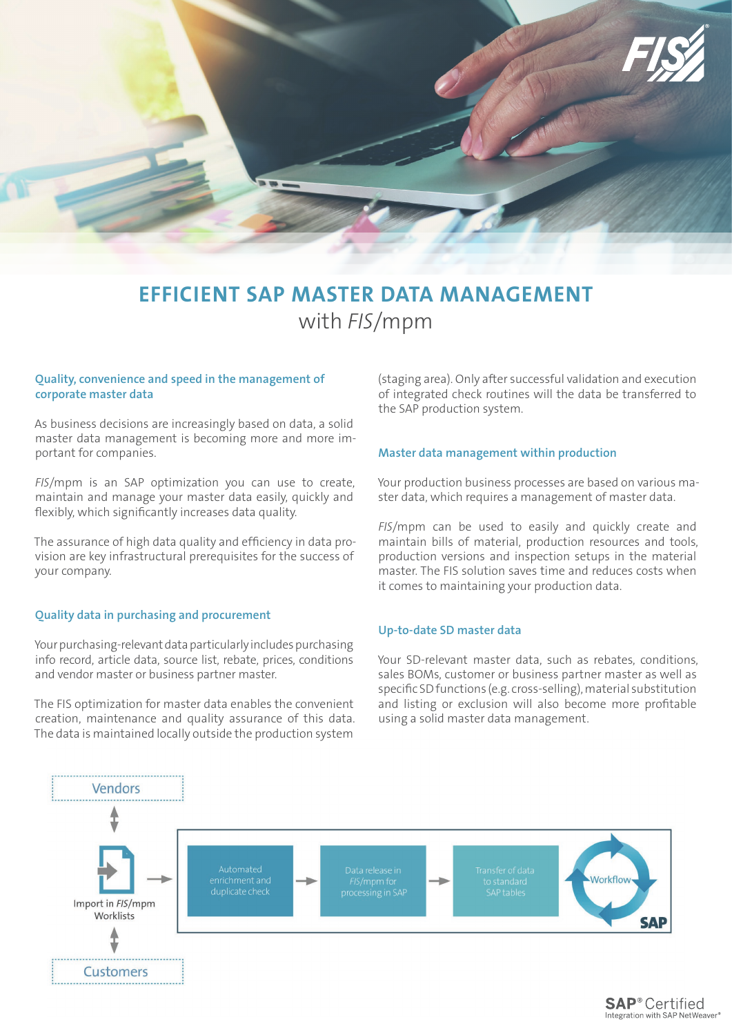

# **EFFICIENT SAP MASTER DATA MANAGEMENT**  with *FIS*/mpm

#### **Quality, convenience and speed in the management of corporate master data**

As business decisions are increasingly based on data, a solid master data management is becoming more and more important for companies.

*FIS*/mpm is an SAP optimization you can use to create, maintain and manage your master data easily, quickly and flexibly, which significantly increases data quality.

The assurance of high data quality and efficiency in data provision are key infrastructural prerequisites for the success of your company.

#### **Quality data in purchasing and procurement**

Your purchasing-relevant data particularly includes purchasing info record, article data, source list, rebate, prices, conditions and vendor master or business partner master.

The FIS optimization for master data enables the convenient creation, maintenance and quality assurance of this data. The data is maintained locally outside the production system

(staging area). Only after successful validation and execution of integrated check routines will the data be transferred to the SAP production system.

#### **Master data management within production**

Your production business processes are based on various master data, which requires a management of master data.

*FIS*/mpm can be used to easily and quickly create and maintain bills of material, production resources and tools, production versions and inspection setups in the material master. The FIS solution saves time and reduces costs when it comes to maintaining your production data.

#### **Up-to-date SD master data**

Your SD-relevant master data, such as rebates, conditions, sales BOMs, customer or business partner master as well as specific SD functions (e.g. cross-selling), material substitution and listing or exclusion will also become more profitable using a solid master data management.